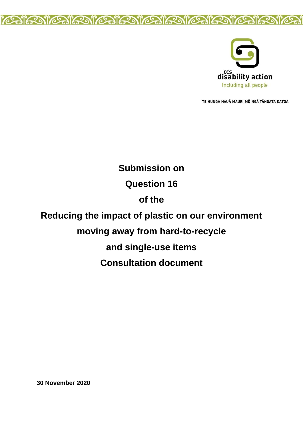



TE HUNGA HAUĀ MAURI MŌ NGĀ TĀNGATA KATOA

# **Submission on Question 16 of the Reducing the impact of plastic on our environment moving away from hard-to-recycle and single-use items Consultation document**

**30 November 2020**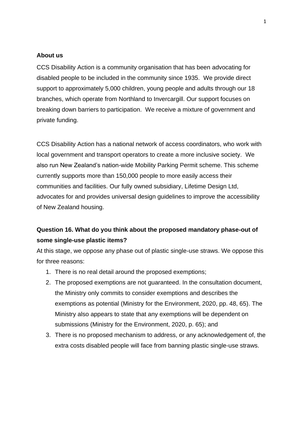# **About us**

CCS Disability Action is a community organisation that has been advocating for disabled people to be included in the community since 1935. We provide direct support to approximately 5,000 children, young people and adults through our 18 branches, which operate from Northland to Invercargill. Our support focuses on breaking down barriers to participation. We receive a mixture of government and private funding.

CCS Disability Action has a national network of access coordinators, who work with local government and transport operators to create a more inclusive society. We also run New Zealand's nation-wide Mobility Parking Permit scheme. This scheme currently supports more than 150,000 people to more easily access their communities and facilities. Our fully owned subsidiary, Lifetime Design Ltd, advocates for and provides universal design guidelines to improve the accessibility of New Zealand housing.

# **Question 16. What do you think about the proposed mandatory phase-out of some single-use plastic items?**

At this stage, we oppose any phase out of plastic single-use straws. We oppose this for three reasons:

- 1. There is no real detail around the proposed exemptions;
- 2. The proposed exemptions are not guaranteed. In the consultation document, the Ministry only commits to consider exemptions and describes the exemptions as potential (Ministry for the Environment, 2020, pp. 48, 65). The Ministry also appears to state that any exemptions will be dependent on submissions (Ministry for the Environment, 2020, p. 65); and
- 3. There is no proposed mechanism to address, or any acknowledgement of, the extra costs disabled people will face from banning plastic single-use straws.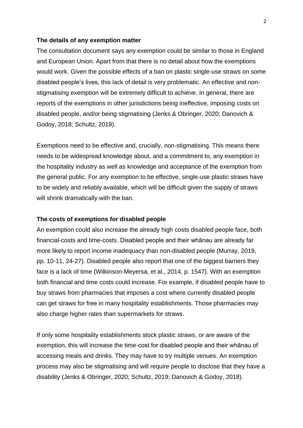#### **The details of any exemption matter**

The consultation document says any exemption could be similar to those in England and European Union. Apart from that there is no detail about how the exemptions would work. Given the possible effects of a ban on plastic single-use straws on some disabled people's lives, this lack of detail is very problematic. An effective and nonstigmatising exemption will be extremely difficult to achieve. In general, there are reports of the exemptions in other jurisdictions being ineffective, imposing costs on disabled people, and/or being stigmatising (Jenks & Obringer, 2020; Danovich & Godoy, 2018; Schultz, 2019).

Exemptions need to be effective and, crucially, non-stigmatising. This means there needs to be widespread knowledge about, and a commitment to, any exemption in the hospitality industry as well as knowledge and acceptance of the exemption from the general public. For any exemption to be effective, single-use plastic straws have to be widely and reliably available, which will be difficult given the supply of straws will shrink dramatically with the ban.

# **The costs of exemptions for disabled people**

An exemption could also increase the already high costs disabled people face, both financial-costs and time-costs. Disabled people and their whānau are already far more likely to report income inadequacy than non-disabled people (Murray, 2019, pp. 10-11, 24-27). Disabled people also report that one of the biggest barriers they face is a lack of time (Wilkinson-Meyersa, et al., 2014, p. 1547). With an exemption both financial and time costs could increase. For example, if disabled people have to buy straws from pharmacies that imposes a cost where currently disabled people can get straws for free in many hospitality establishments. Those pharmacies may also charge higher rates than supermarkets for straws.

If only some hospitality establishments stock plastic straws, or are aware of the exemption, this will increase the time-cost for disabled people and their whānau of accessing meals and drinks. They may have to try multiple venues. An exemption process may also be stigmatising and will require people to disclose that they have a disability (Jenks & Obringer, 2020; Schultz, 2019; Danovich & Godoy, 2018).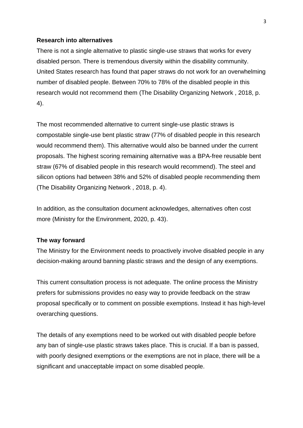### **Research into alternatives**

There is not a single alternative to plastic single-use straws that works for every disabled person. There is tremendous diversity within the disability community. United States research has found that paper straws do not work for an overwhelming number of disabled people. Between 70% to 78% of the disabled people in this research would not recommend them (The Disability Organizing Network , 2018, p. 4).

The most recommended alternative to current single-use plastic straws is compostable single-use bent plastic straw (77% of disabled people in this research would recommend them). This alternative would also be banned under the current proposals. The highest scoring remaining alternative was a BPA-free reusable bent straw (67% of disabled people in this research would recommend). The steel and silicon options had between 38% and 52% of disabled people recommending them (The Disability Organizing Network , 2018, p. 4).

In addition, as the consultation document acknowledges, alternatives often cost more (Ministry for the Environment, 2020, p. 43).

# **The way forward**

The Ministry for the Environment needs to proactively involve disabled people in any decision-making around banning plastic straws and the design of any exemptions.

This current consultation process is not adequate. The online process the Ministry prefers for submissions provides no easy way to provide feedback on the straw proposal specifically or to comment on possible exemptions. Instead it has high-level overarching questions.

The details of any exemptions need to be worked out with disabled people before any ban of single-use plastic straws takes place. This is crucial. If a ban is passed, with poorly designed exemptions or the exemptions are not in place, there will be a significant and unacceptable impact on some disabled people.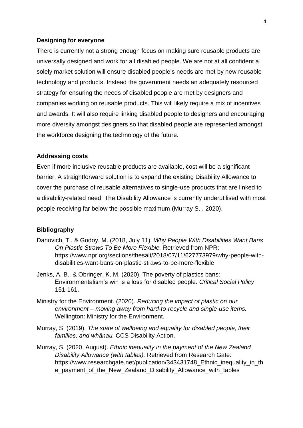# **Designing for everyone**

There is currently not a strong enough focus on making sure reusable products are universally designed and work for all disabled people. We are not at all confident a solely market solution will ensure disabled people's needs are met by new reusable technology and products. Instead the government needs an adequately resourced strategy for ensuring the needs of disabled people are met by designers and companies working on reusable products. This will likely require a mix of incentives and awards. It will also require linking disabled people to designers and encouraging more diversity amongst designers so that disabled people are represented amongst the workforce designing the technology of the future.

#### **Addressing costs**

Even if more inclusive reusable products are available, cost will be a significant barrier. A straightforward solution is to expand the existing Disability Allowance to cover the purchase of reusable alternatives to single-use products that are linked to a disability-related need. The Disability Allowance is currently underutilised with most people receiving far below the possible maximum (Murray S. , 2020).

# **Bibliography**

- Danovich, T., & Godoy, M. (2018, July 11). *Why People With Disabilities Want Bans On Plastic Straws To Be More Flexible.* Retrieved from NPR: https://www.npr.org/sections/thesalt/2018/07/11/627773979/why-people-withdisabilities-want-bans-on-plastic-straws-to-be-more-flexible
- Jenks, A. B., & Obringer, K. M. (2020). The poverty of plastics bans: Environmentalism's win is a loss for disabled people. *Critical Social Policy*, 151-161.
- Ministry for the Environment. (2020). *Reducing the impact of plastic on our environment – moving away from hard-to-recycle and single-use items.* Wellington: Ministry for the Environment.
- Murray, S. (2019). *The state of wellbeing and equality for disabled people, their families, and whānau.* CCS Disability Action.
- Murray, S. (2020, August). *Ethnic inequality in the payment of the New Zealand Disability Allowance (with tables).* Retrieved from Research Gate: https://www.researchgate.net/publication/343431748\_Ethnic\_inequality\_in\_th e\_payment\_of\_the\_New\_Zealand\_Disability\_Allowance\_with\_tables